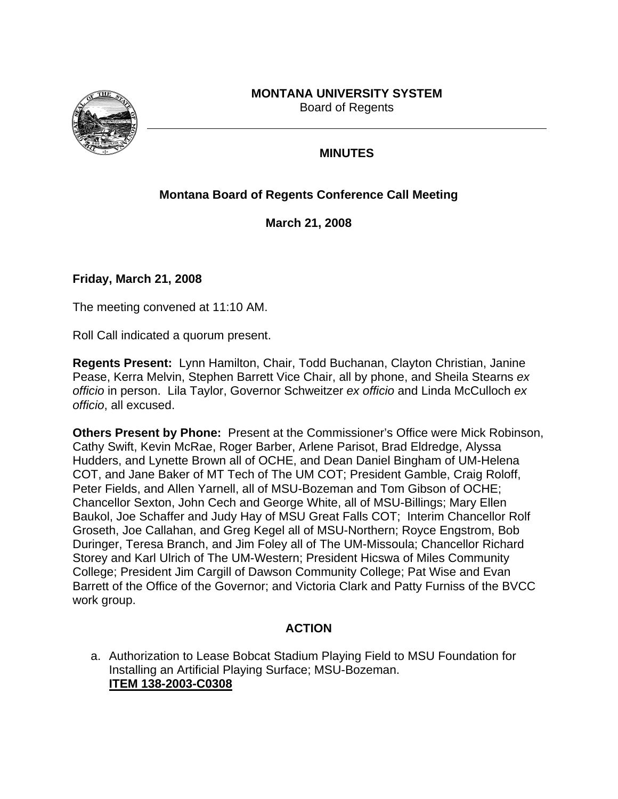# **MONTANA UNIVERSITY SYSTEM**



Board of Regents

## **MINUTES**

# **Montana Board of Regents Conference Call Meeting**

**March 21, 2008** 

#### **Friday, March 21, 2008**

The meeting convened at 11:10 AM.

Roll Call indicated a quorum present.

**Regents Present:** Lynn Hamilton, Chair, Todd Buchanan, Clayton Christian, Janine Pease, Kerra Melvin, Stephen Barrett Vice Chair, all by phone, and Sheila Stearns *ex officio* in person. Lila Taylor, Governor Schweitzer *ex officio* and Linda McCulloch *ex officio*, all excused.

**Others Present by Phone:** Present at the Commissioner's Office were Mick Robinson, Cathy Swift, Kevin McRae, Roger Barber, Arlene Parisot, Brad Eldredge, Alyssa Hudders, and Lynette Brown all of OCHE, and Dean Daniel Bingham of UM-Helena COT, and Jane Baker of MT Tech of The UM COT; President Gamble, Craig Roloff, Peter Fields, and Allen Yarnell, all of MSU-Bozeman and Tom Gibson of OCHE; Chancellor Sexton, John Cech and George White, all of MSU-Billings; Mary Ellen Baukol, Joe Schaffer and Judy Hay of MSU Great Falls COT; Interim Chancellor Rolf Groseth, Joe Callahan, and Greg Kegel all of MSU-Northern; Royce Engstrom, Bob Duringer, Teresa Branch, and Jim Foley all of The UM-Missoula; Chancellor Richard Storey and Karl Ulrich of The UM-Western; President Hicswa of Miles Community College; President Jim Cargill of Dawson Community College; Pat Wise and Evan Barrett of the Office of the Governor; and Victoria Clark and Patty Furniss of the BVCC work group.

# **ACTION**

a. Authorization to Lease Bobcat Stadium Playing Field to MSU Foundation for Installing an Artificial Playing Surface; MSU-Bozeman. **[ITEM 138-2003-C0308](http://mus.edu/board/meetings/2008/Mar08-CC/ITEM138-2003-C0308.pdf)**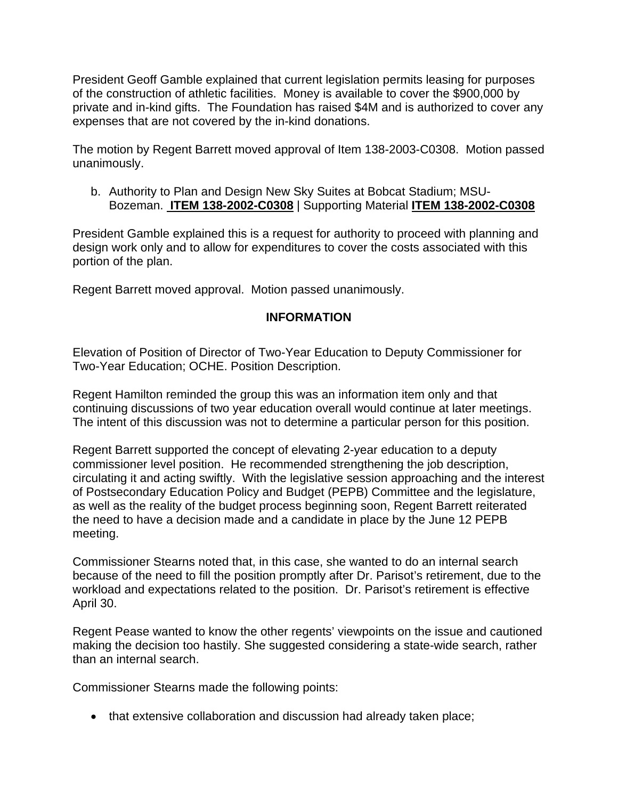President Geoff Gamble explained that current legislation permits leasing for purposes of the construction of athletic facilities. Money is available to cover the \$900,000 by private and in-kind gifts. The Foundation has raised \$4M and is authorized to cover any expenses that are not covered by the in-kind donations.

The motion by Regent Barrett moved approval of Item 138-2003-C0308. Motion passed unanimously.

b. Authority to Plan and Design New Sky Suites at Bobcat Stadium; MSU-Bozeman. **[ITEM 138-2002-C0308](http://mus.edu/board/meetings/2008/Mar08-CC/ITEM138-2002-C0308.pdf)** | Supporting Material **[ITEM 138-2002-C0308](http://mus.edu/board/meetings/2008/Mar08-CC/ITEM138-2002-C0308_SM.pdf)**

President Gamble explained this is a request for authority to proceed with planning and design work only and to allow for expenditures to cover the costs associated with this portion of the plan.

Regent Barrett moved approval. Motion passed unanimously.

### **INFORMATION**

Elevation of Position of Director of Two-Year Education to Deputy Commissioner for Two-Year Education; OCHE. [Position Description.](http://mus.edu/board/meetings/2008/Mar08-CC/DraftPDDeputyComm2YearEd.pdf) 

Regent Hamilton reminded the group this was an information item only and that continuing discussions of two year education overall would continue at later meetings. The intent of this discussion was not to determine a particular person for this position.

Regent Barrett supported the concept of elevating 2-year education to a deputy commissioner level position. He recommended strengthening the job description, circulating it and acting swiftly. With the legislative session approaching and the interest of Postsecondary Education Policy and Budget (PEPB) Committee and the legislature, as well as the reality of the budget process beginning soon, Regent Barrett reiterated the need to have a decision made and a candidate in place by the June 12 PEPB meeting.

Commissioner Stearns noted that, in this case, she wanted to do an internal search because of the need to fill the position promptly after Dr. Parisot's retirement, due to the workload and expectations related to the position. Dr. Parisot's retirement is effective April 30.

Regent Pease wanted to know the other regents' viewpoints on the issue and cautioned making the decision too hastily. She suggested considering a state-wide search, rather than an internal search.

Commissioner Stearns made the following points:

• that extensive collaboration and discussion had already taken place;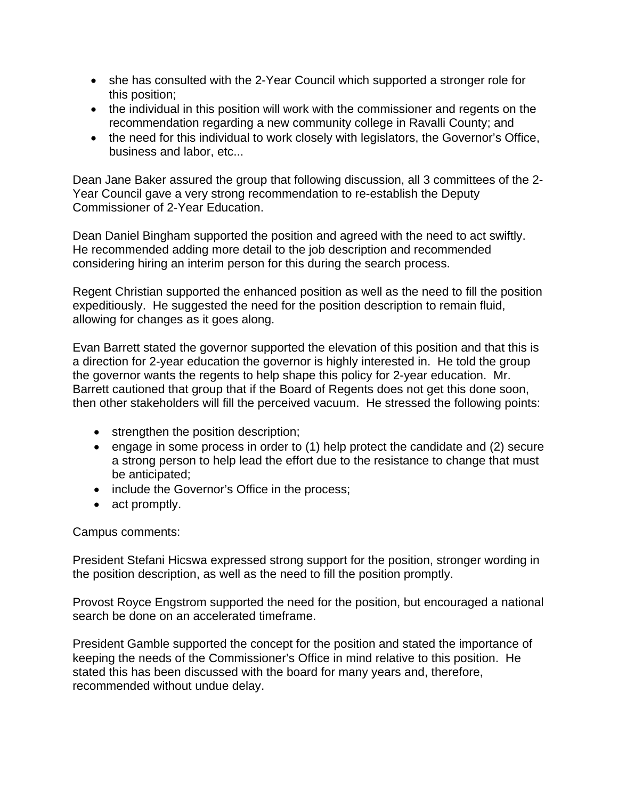- she has consulted with the 2-Year Council which supported a stronger role for this position;
- the individual in this position will work with the commissioner and regents on the recommendation regarding a new community college in Ravalli County; and
- the need for this individual to work closely with legislators, the Governor's Office, business and labor, etc...

Dean Jane Baker assured the group that following discussion, all 3 committees of the 2- Year Council gave a very strong recommendation to re-establish the Deputy Commissioner of 2-Year Education.

Dean Daniel Bingham supported the position and agreed with the need to act swiftly. He recommended adding more detail to the job description and recommended considering hiring an interim person for this during the search process.

Regent Christian supported the enhanced position as well as the need to fill the position expeditiously. He suggested the need for the position description to remain fluid, allowing for changes as it goes along.

Evan Barrett stated the governor supported the elevation of this position and that this is a direction for 2-year education the governor is highly interested in. He told the group the governor wants the regents to help shape this policy for 2-year education. Mr. Barrett cautioned that group that if the Board of Regents does not get this done soon, then other stakeholders will fill the perceived vacuum. He stressed the following points:

- strengthen the position description;
- engage in some process in order to (1) help protect the candidate and (2) secure a strong person to help lead the effort due to the resistance to change that must be anticipated;
- include the Governor's Office in the process;
- act promptly.

#### Campus comments:

President Stefani Hicswa expressed strong support for the position, stronger wording in the position description, as well as the need to fill the position promptly.

Provost Royce Engstrom supported the need for the position, but encouraged a national search be done on an accelerated timeframe.

President Gamble supported the concept for the position and stated the importance of keeping the needs of the Commissioner's Office in mind relative to this position. He stated this has been discussed with the board for many years and, therefore, recommended without undue delay.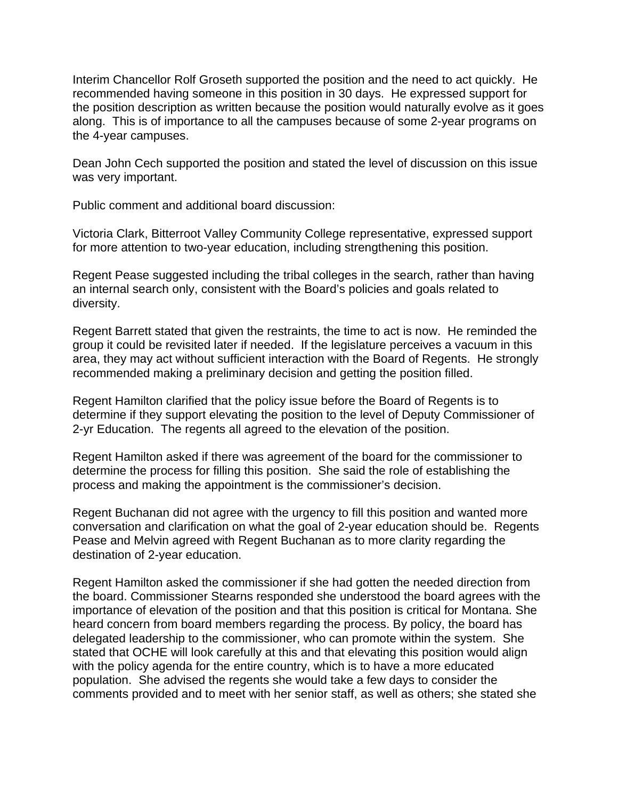Interim Chancellor Rolf Groseth supported the position and the need to act quickly. He recommended having someone in this position in 30 days. He expressed support for the position description as written because the position would naturally evolve as it goes along. This is of importance to all the campuses because of some 2-year programs on the 4-year campuses.

Dean John Cech supported the position and stated the level of discussion on this issue was very important.

Public comment and additional board discussion:

Victoria Clark, Bitterroot Valley Community College representative, expressed support for more attention to two-year education, including strengthening this position.

Regent Pease suggested including the tribal colleges in the search, rather than having an internal search only, consistent with the Board's policies and goals related to diversity.

Regent Barrett stated that given the restraints, the time to act is now. He reminded the group it could be revisited later if needed. If the legislature perceives a vacuum in this area, they may act without sufficient interaction with the Board of Regents. He strongly recommended making a preliminary decision and getting the position filled.

Regent Hamilton clarified that the policy issue before the Board of Regents is to determine if they support elevating the position to the level of Deputy Commissioner of 2-yr Education. The regents all agreed to the elevation of the position.

Regent Hamilton asked if there was agreement of the board for the commissioner to determine the process for filling this position. She said the role of establishing the process and making the appointment is the commissioner's decision.

Regent Buchanan did not agree with the urgency to fill this position and wanted more conversation and clarification on what the goal of 2-year education should be. Regents Pease and Melvin agreed with Regent Buchanan as to more clarity regarding the destination of 2-year education.

Regent Hamilton asked the commissioner if she had gotten the needed direction from the board. Commissioner Stearns responded she understood the board agrees with the importance of elevation of the position and that this position is critical for Montana. She heard concern from board members regarding the process. By policy, the board has delegated leadership to the commissioner, who can promote within the system. She stated that OCHE will look carefully at this and that elevating this position would align with the policy agenda for the entire country, which is to have a more educated population. She advised the regents she would take a few days to consider the comments provided and to meet with her senior staff, as well as others; she stated she